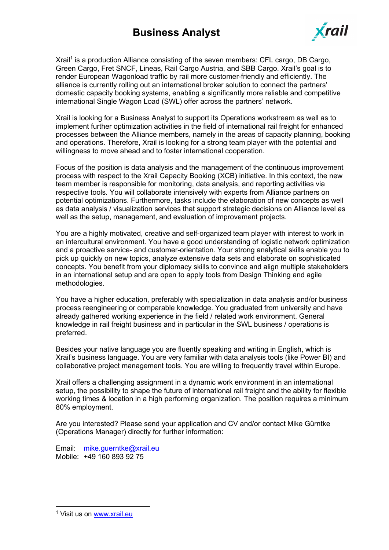## **Business Analyst**



Xrail<sup>1</sup> is a production Alliance consisting of the seven members: CFL cargo, DB Cargo, Green Cargo, Fret SNCF, Lineas, Rail Cargo Austria, and SBB Cargo. Xrail's goal is to render European Wagonload traffic by rail more customer-friendly and efficiently. The alliance is currently rolling out an international broker solution to connect the partners' domestic capacity booking systems, enabling a significantly more reliable and competitive international Single Wagon Load (SWL) offer across the partners' network.

Xrail is looking for a Business Analyst to support its Operations workstream as well as to implement further optimization activities in the field of international rail freight for enhanced processes between the Alliance members, namely in the areas of capacity planning, booking and operations. Therefore, Xrail is looking for a strong team player with the potential and willingness to move ahead and to foster international cooperation.

Focus of the position is data analysis and the management of the continuous improvement process with respect to the Xrail Capacity Booking (XCB) initiative. In this context, the new team member is responsible for monitoring, data analysis, and reporting activities via respective tools. You will collaborate intensively with experts from Alliance partners on potential optimizations. Furthermore, tasks include the elaboration of new concepts as well as data analysis / visualization services that support strategic decisions on Alliance level as well as the setup, management, and evaluation of improvement projects.

You are a highly motivated, creative and self-organized team player with interest to work in an intercultural environment. You have a good understanding of logistic network optimization and a proactive service- and customer-orientation. Your strong analytical skills enable you to pick up quickly on new topics, analyze extensive data sets and elaborate on sophisticated concepts. You benefit from your diplomacy skills to convince and align multiple stakeholders in an international setup and are open to apply tools from Design Thinking and agile methodologies.

You have a higher education, preferably with specialization in data analysis and/or business process reengineering or comparable knowledge. You graduated from university and have already gathered working experience in the field / related work environment. General knowledge in rail freight business and in particular in the SWL business / operations is preferred.

Besides your native language you are fluently speaking and writing in English, which is Xrail's business language. You are very familiar with data analysis tools (like Power BI) and collaborative project management tools. You are willing to frequently travel within Europe.

Xrail offers a challenging assignment in a dynamic work environment in an international setup, the possibility to shape the future of international rail freight and the ability for flexible working times & location in a high performing organization. The position requires a minimum 80% employment.

Are you interested? Please send your application and CV and/or contact Mike Gürntke (Operations Manager) directly for further information:

Email: mike.guerntke@xrail.eu Mobile: +49 160 893 92 75

<sup>&</sup>lt;sup>1</sup> Visit us on www.xrail.eu